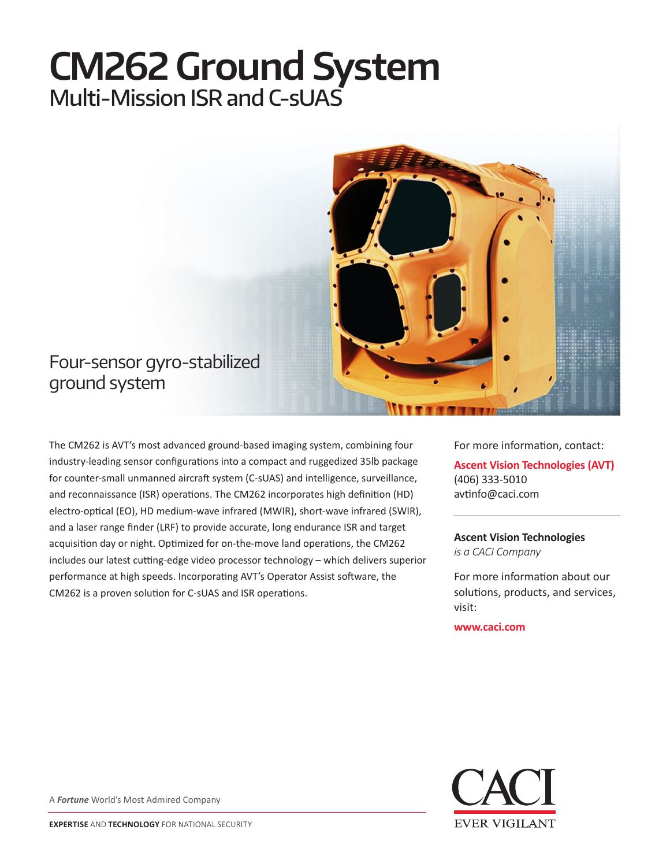# **CM262 Ground System** Multi-Mission ISR and C-sUAS



## Four-sensor gyro-stabilized ground system

The CM262 is AVT's most advanced ground-based imaging system, combining four industry-leading sensor configurations into a compact and ruggedized 35lb package for counter-small unmanned aircraft system (C-sUAS) and intelligence, surveillance, and reconnaissance (ISR) operations. The CM262 incorporates high definition (HD) electro-optical (EO), HD medium-wave infrared (MWIR), short-wave infrared (SWIR), and a laser range finder (LRF) to provide accurate, long endurance ISR and target acquisition day or night. Optimized for on-the-move land operations, the CM262 includes our latest cutting-edge video processor technology – which delivers superior performance at high speeds. Incorporating AVT's Operator Assist software, the CM262 is a proven solution for C-sUAS and ISR operations.

For more information, contact: **Ascent Vision Technologies (AVT)** (406) 333-5010 avtinfo@caci.com

**Ascent Vision Technologies** *is a CACI Company* 

For more information about our solutions, products, and services, visit:

**www.caci.com**



A *Fortune* World's Most Admired Company